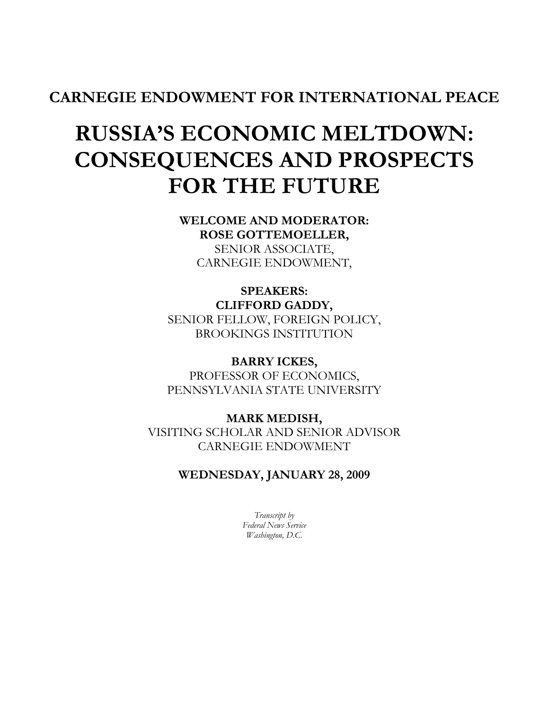## CARNEGIE ENDOWMENT FOR INTERNATIONAL PEACE

# RUSSIA'S ECONOMIC MELTDOWN: CONSEQUENCES AND PROSPECTS FOR THE FUTURE

WELCOME AND MODERATOR: ROSE GOTTEMOELLER, SENIOR ASSOCIATE,

CARNEGIE ENDOWMENT,

SPEAKERS: CLIFFORD GADDY, SENIOR FELLOW, FOREIGN POLICY, BROOKINGS INSTITUTION

BARRY ICKES, PROFESSOR OF ECONOMICS, PENNSYLVANIA STATE UNIVERSITY

MARK MEDISH, VISITING SCHOLAR AND SENIOR ADVISOR CARNEGIE ENDOWMENT

WEDNESDAY, JANUARY 28, 2009

Transcript by Federal News Service Washington, D.C.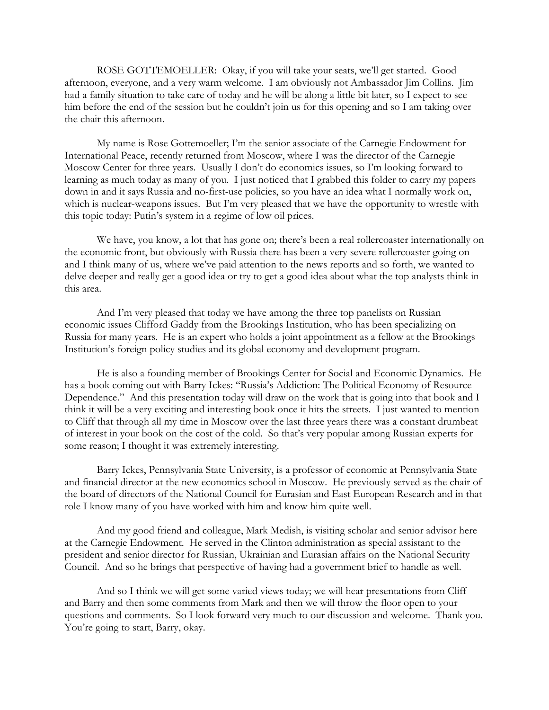ROSE GOTTEMOELLER: Okay, if you will take your seats, we'll get started. Good afternoon, everyone, and a very warm welcome. I am obviously not Ambassador Jim Collins. Jim had a family situation to take care of today and he will be along a little bit later, so I expect to see him before the end of the session but he couldn't join us for this opening and so I am taking over the chair this afternoon.

 My name is Rose Gottemoeller; I'm the senior associate of the Carnegie Endowment for International Peace, recently returned from Moscow, where I was the director of the Carnegie Moscow Center for three years. Usually I don't do economics issues, so I'm looking forward to learning as much today as many of you. I just noticed that I grabbed this folder to carry my papers down in and it says Russia and no-first-use policies, so you have an idea what I normally work on, which is nuclear-weapons issues. But I'm very pleased that we have the opportunity to wrestle with this topic today: Putin's system in a regime of low oil prices.

 We have, you know, a lot that has gone on; there's been a real rollercoaster internationally on the economic front, but obviously with Russia there has been a very severe rollercoaster going on and I think many of us, where we've paid attention to the news reports and so forth, we wanted to delve deeper and really get a good idea or try to get a good idea about what the top analysts think in this area.

And I'm very pleased that today we have among the three top panelists on Russian economic issues Clifford Gaddy from the Brookings Institution, who has been specializing on Russia for many years. He is an expert who holds a joint appointment as a fellow at the Brookings Institution's foreign policy studies and its global economy and development program.

 He is also a founding member of Brookings Center for Social and Economic Dynamics. He has a book coming out with Barry Ickes: "Russia's Addiction: The Political Economy of Resource Dependence." And this presentation today will draw on the work that is going into that book and I think it will be a very exciting and interesting book once it hits the streets. I just wanted to mention to Cliff that through all my time in Moscow over the last three years there was a constant drumbeat of interest in your book on the cost of the cold. So that's very popular among Russian experts for some reason; I thought it was extremely interesting.

 Barry Ickes, Pennsylvania State University, is a professor of economic at Pennsylvania State and financial director at the new economics school in Moscow. He previously served as the chair of the board of directors of the National Council for Eurasian and East European Research and in that role I know many of you have worked with him and know him quite well.

And my good friend and colleague, Mark Medish, is visiting scholar and senior advisor here at the Carnegie Endowment. He served in the Clinton administration as special assistant to the president and senior director for Russian, Ukrainian and Eurasian affairs on the National Security Council. And so he brings that perspective of having had a government brief to handle as well.

And so I think we will get some varied views today; we will hear presentations from Cliff and Barry and then some comments from Mark and then we will throw the floor open to your questions and comments. So I look forward very much to our discussion and welcome. Thank you. You're going to start, Barry, okay.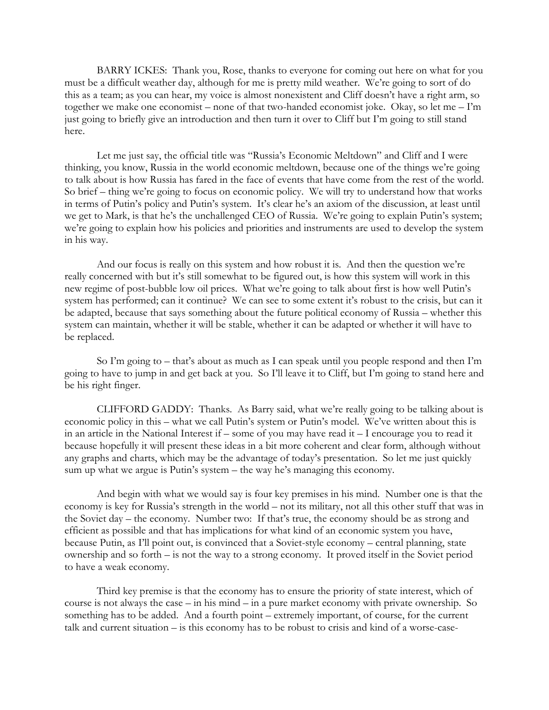BARRY ICKES: Thank you, Rose, thanks to everyone for coming out here on what for you must be a difficult weather day, although for me is pretty mild weather. We're going to sort of do this as a team; as you can hear, my voice is almost nonexistent and Cliff doesn't have a right arm, so together we make one economist – none of that two-handed economist joke. Okay, so let me – I'm just going to briefly give an introduction and then turn it over to Cliff but I'm going to still stand here.

 Let me just say, the official title was "Russia's Economic Meltdown" and Cliff and I were thinking, you know, Russia in the world economic meltdown, because one of the things we're going to talk about is how Russia has fared in the face of events that have come from the rest of the world. So brief – thing we're going to focus on economic policy. We will try to understand how that works in terms of Putin's policy and Putin's system. It's clear he's an axiom of the discussion, at least until we get to Mark, is that he's the unchallenged CEO of Russia. We're going to explain Putin's system; we're going to explain how his policies and priorities and instruments are used to develop the system in his way.

 And our focus is really on this system and how robust it is. And then the question we're really concerned with but it's still somewhat to be figured out, is how this system will work in this new regime of post-bubble low oil prices. What we're going to talk about first is how well Putin's system has performed; can it continue? We can see to some extent it's robust to the crisis, but can it be adapted, because that says something about the future political economy of Russia – whether this system can maintain, whether it will be stable, whether it can be adapted or whether it will have to be replaced.

So I'm going to – that's about as much as I can speak until you people respond and then I'm going to have to jump in and get back at you. So I'll leave it to Cliff, but I'm going to stand here and be his right finger.

 CLIFFORD GADDY: Thanks. As Barry said, what we're really going to be talking about is economic policy in this – what we call Putin's system or Putin's model. We've written about this is in an article in the National Interest if – some of you may have read it – I encourage you to read it because hopefully it will present these ideas in a bit more coherent and clear form, although without any graphs and charts, which may be the advantage of today's presentation. So let me just quickly sum up what we argue is Putin's system – the way he's managing this economy.

 And begin with what we would say is four key premises in his mind. Number one is that the economy is key for Russia's strength in the world – not its military, not all this other stuff that was in the Soviet day – the economy. Number two: If that's true, the economy should be as strong and efficient as possible and that has implications for what kind of an economic system you have, because Putin, as I'll point out, is convinced that a Soviet-style economy – central planning, state ownership and so forth – is not the way to a strong economy. It proved itself in the Soviet period to have a weak economy.

 Third key premise is that the economy has to ensure the priority of state interest, which of course is not always the case – in his mind – in a pure market economy with private ownership. So something has to be added. And a fourth point – extremely important, of course, for the current talk and current situation – is this economy has to be robust to crisis and kind of a worse-case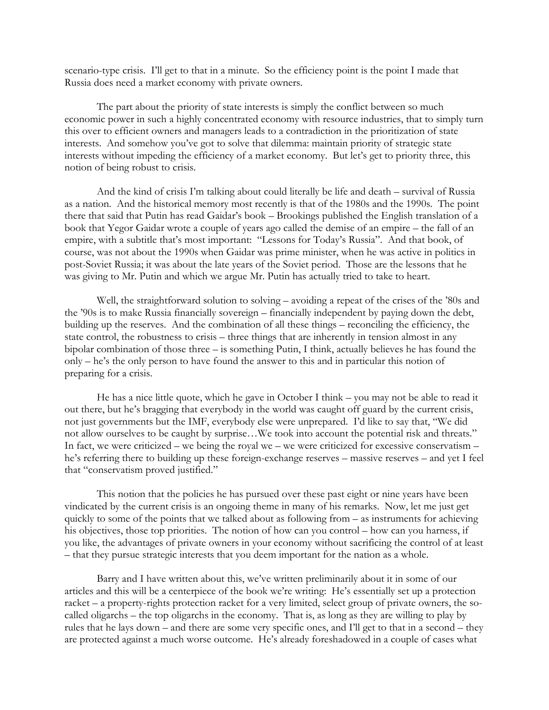scenario-type crisis. I'll get to that in a minute. So the efficiency point is the point I made that Russia does need a market economy with private owners.

The part about the priority of state interests is simply the conflict between so much economic power in such a highly concentrated economy with resource industries, that to simply turn this over to efficient owners and managers leads to a contradiction in the prioritization of state interests. And somehow you've got to solve that dilemma: maintain priority of strategic state interests without impeding the efficiency of a market economy. But let's get to priority three, this notion of being robust to crisis.

And the kind of crisis I'm talking about could literally be life and death – survival of Russia as a nation. And the historical memory most recently is that of the 1980s and the 1990s. The point there that said that Putin has read Gaidar's book – Brookings published the English translation of a book that Yegor Gaidar wrote a couple of years ago called the demise of an empire – the fall of an empire, with a subtitle that's most important: "Lessons for Today's Russia". And that book, of course, was not about the 1990s when Gaidar was prime minister, when he was active in politics in post-Soviet Russia; it was about the late years of the Soviet period. Those are the lessons that he was giving to Mr. Putin and which we argue Mr. Putin has actually tried to take to heart.

Well, the straightforward solution to solving – avoiding a repeat of the crises of the '80s and the '90s is to make Russia financially sovereign – financially independent by paying down the debt, building up the reserves. And the combination of all these things – reconciling the efficiency, the state control, the robustness to crisis – three things that are inherently in tension almost in any bipolar combination of those three – is something Putin, I think, actually believes he has found the only – he's the only person to have found the answer to this and in particular this notion of preparing for a crisis.

He has a nice little quote, which he gave in October I think  $-$  you may not be able to read it out there, but he's bragging that everybody in the world was caught off guard by the current crisis, not just governments but the IMF, everybody else were unprepared. I'd like to say that, "We did not allow ourselves to be caught by surprise…We took into account the potential risk and threats." In fact, we were criticized – we being the royal we – we were criticized for excessive conservatism – he's referring there to building up these foreign-exchange reserves – massive reserves – and yet I feel that "conservatism proved justified."

This notion that the policies he has pursued over these past eight or nine years have been vindicated by the current crisis is an ongoing theme in many of his remarks. Now, let me just get quickly to some of the points that we talked about as following from – as instruments for achieving his objectives, those top priorities. The notion of how can you control – how can you harness, if you like, the advantages of private owners in your economy without sacrificing the control of at least – that they pursue strategic interests that you deem important for the nation as a whole.

Barry and I have written about this, we've written preliminarily about it in some of our articles and this will be a centerpiece of the book we're writing: He's essentially set up a protection racket – a property-rights protection racket for a very limited, select group of private owners, the socalled oligarchs – the top oligarchs in the economy. That is, as long as they are willing to play by rules that he lays down – and there are some very specific ones, and I'll get to that in a second – they are protected against a much worse outcome. He's already foreshadowed in a couple of cases what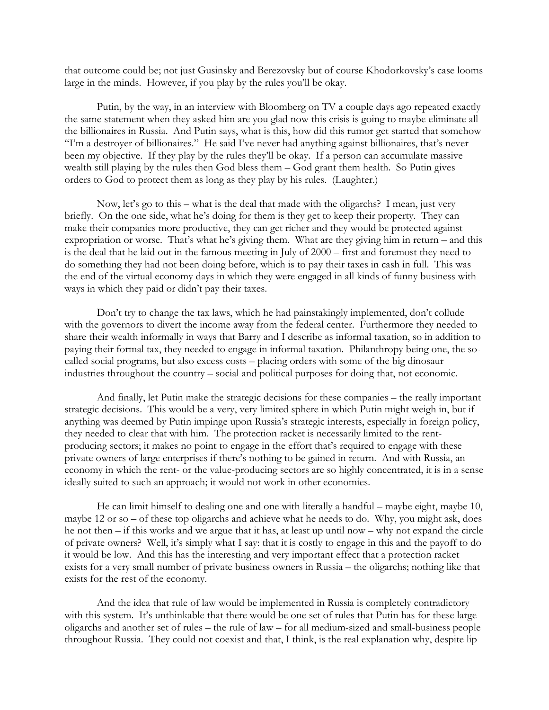that outcome could be; not just Gusinsky and Berezovsky but of course Khodorkovsky's case looms large in the minds. However, if you play by the rules you'll be okay.

Putin, by the way, in an interview with Bloomberg on TV a couple days ago repeated exactly the same statement when they asked him are you glad now this crisis is going to maybe eliminate all the billionaires in Russia. And Putin says, what is this, how did this rumor get started that somehow "I'm a destroyer of billionaires." He said I've never had anything against billionaires, that's never been my objective. If they play by the rules they'll be okay. If a person can accumulate massive wealth still playing by the rules then God bless them – God grant them health. So Putin gives orders to God to protect them as long as they play by his rules. (Laughter.)

Now, let's go to this – what is the deal that made with the oligarchs? I mean, just very briefly. On the one side, what he's doing for them is they get to keep their property. They can make their companies more productive, they can get richer and they would be protected against expropriation or worse. That's what he's giving them. What are they giving him in return – and this is the deal that he laid out in the famous meeting in July of 2000 – first and foremost they need to do something they had not been doing before, which is to pay their taxes in cash in full. This was the end of the virtual economy days in which they were engaged in all kinds of funny business with ways in which they paid or didn't pay their taxes.

Don't try to change the tax laws, which he had painstakingly implemented, don't collude with the governors to divert the income away from the federal center. Furthermore they needed to share their wealth informally in ways that Barry and I describe as informal taxation, so in addition to paying their formal tax, they needed to engage in informal taxation. Philanthropy being one, the socalled social programs, but also excess costs – placing orders with some of the big dinosaur industries throughout the country – social and political purposes for doing that, not economic.

And finally, let Putin make the strategic decisions for these companies – the really important strategic decisions. This would be a very, very limited sphere in which Putin might weigh in, but if anything was deemed by Putin impinge upon Russia's strategic interests, especially in foreign policy, they needed to clear that with him. The protection racket is necessarily limited to the rentproducing sectors; it makes no point to engage in the effort that's required to engage with these private owners of large enterprises if there's nothing to be gained in return. And with Russia, an economy in which the rent- or the value-producing sectors are so highly concentrated, it is in a sense ideally suited to such an approach; it would not work in other economies.

He can limit himself to dealing one and one with literally a handful – maybe eight, maybe 10, maybe 12 or so – of these top oligarchs and achieve what he needs to do. Why, you might ask, does he not then – if this works and we argue that it has, at least up until now – why not expand the circle of private owners? Well, it's simply what I say: that it is costly to engage in this and the payoff to do it would be low. And this has the interesting and very important effect that a protection racket exists for a very small number of private business owners in Russia – the oligarchs; nothing like that exists for the rest of the economy.

And the idea that rule of law would be implemented in Russia is completely contradictory with this system. It's unthinkable that there would be one set of rules that Putin has for these large oligarchs and another set of rules – the rule of law – for all medium-sized and small-business people throughout Russia. They could not coexist and that, I think, is the real explanation why, despite lip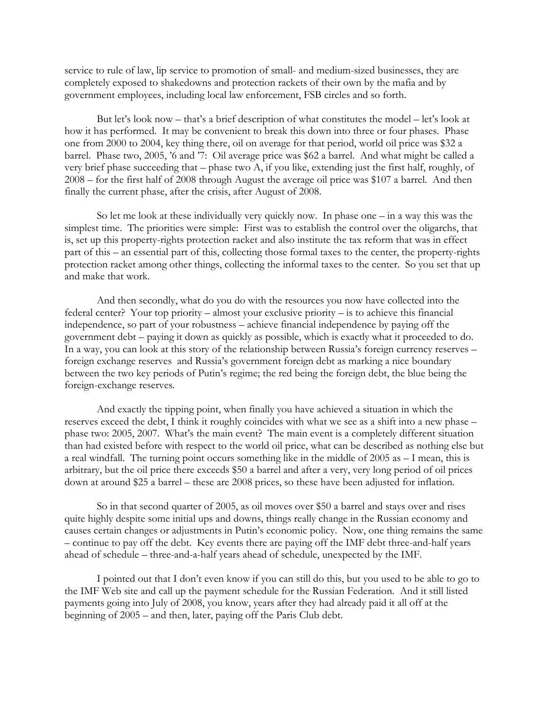service to rule of law, lip service to promotion of small- and medium-sized businesses, they are completely exposed to shakedowns and protection rackets of their own by the mafia and by government employees, including local law enforcement, FSB circles and so forth.

But let's look now – that's a brief description of what constitutes the model – let's look at how it has performed. It may be convenient to break this down into three or four phases. Phase one from 2000 to 2004, key thing there, oil on average for that period, world oil price was \$32 a barrel. Phase two, 2005, '6 and '7: Oil average price was \$62 a barrel. And what might be called a very brief phase succeeding that – phase two A, if you like, extending just the first half, roughly, of 2008 – for the first half of 2008 through August the average oil price was \$107 a barrel. And then finally the current phase, after the crisis, after August of 2008.

So let me look at these individually very quickly now. In phase one – in a way this was the simplest time. The priorities were simple: First was to establish the control over the oligarchs, that is, set up this property-rights protection racket and also institute the tax reform that was in effect part of this – an essential part of this, collecting those formal taxes to the center, the property-rights protection racket among other things, collecting the informal taxes to the center. So you set that up and make that work.

And then secondly, what do you do with the resources you now have collected into the federal center? Your top priority – almost your exclusive priority – is to achieve this financial independence, so part of your robustness – achieve financial independence by paying off the government debt – paying it down as quickly as possible, which is exactly what it proceeded to do. In a way, you can look at this story of the relationship between Russia's foreign currency reserves – foreign exchange reserves and Russia's government foreign debt as marking a nice boundary between the two key periods of Putin's regime; the red being the foreign debt, the blue being the foreign-exchange reserves.

And exactly the tipping point, when finally you have achieved a situation in which the reserves exceed the debt, I think it roughly coincides with what we see as a shift into a new phase – phase two: 2005, 2007. What's the main event? The main event is a completely different situation than had existed before with respect to the world oil price, what can be described as nothing else but a real windfall. The turning point occurs something like in the middle of 2005 as – I mean, this is arbitrary, but the oil price there exceeds \$50 a barrel and after a very, very long period of oil prices down at around \$25 a barrel – these are 2008 prices, so these have been adjusted for inflation.

So in that second quarter of 2005, as oil moves over \$50 a barrel and stays over and rises quite highly despite some initial ups and downs, things really change in the Russian economy and causes certain changes or adjustments in Putin's economic policy. Now, one thing remains the same – continue to pay off the debt. Key events there are paying off the IMF debt three-and-half years ahead of schedule – three-and-a-half years ahead of schedule, unexpected by the IMF.

I pointed out that I don't even know if you can still do this, but you used to be able to go to the IMF Web site and call up the payment schedule for the Russian Federation. And it still listed payments going into July of 2008, you know, years after they had already paid it all off at the beginning of 2005 – and then, later, paying off the Paris Club debt.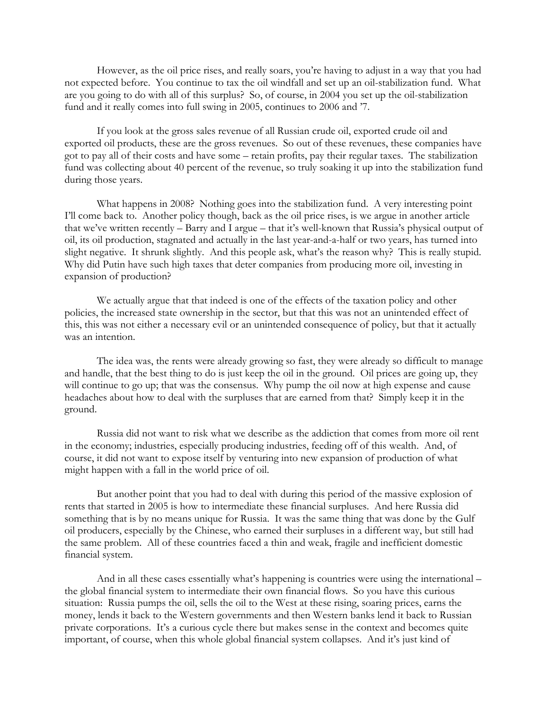However, as the oil price rises, and really soars, you're having to adjust in a way that you had not expected before. You continue to tax the oil windfall and set up an oil-stabilization fund. What are you going to do with all of this surplus? So, of course, in 2004 you set up the oil-stabilization fund and it really comes into full swing in 2005, continues to 2006 and '7.

If you look at the gross sales revenue of all Russian crude oil, exported crude oil and exported oil products, these are the gross revenues. So out of these revenues, these companies have got to pay all of their costs and have some – retain profits, pay their regular taxes. The stabilization fund was collecting about 40 percent of the revenue, so truly soaking it up into the stabilization fund during those years.

What happens in 2008? Nothing goes into the stabilization fund. A very interesting point I'll come back to. Another policy though, back as the oil price rises, is we argue in another article that we've written recently – Barry and I argue – that it's well-known that Russia's physical output of oil, its oil production, stagnated and actually in the last year-and-a-half or two years, has turned into slight negative. It shrunk slightly. And this people ask, what's the reason why? This is really stupid. Why did Putin have such high taxes that deter companies from producing more oil, investing in expansion of production?

We actually argue that that indeed is one of the effects of the taxation policy and other policies, the increased state ownership in the sector, but that this was not an unintended effect of this, this was not either a necessary evil or an unintended consequence of policy, but that it actually was an intention.

The idea was, the rents were already growing so fast, they were already so difficult to manage and handle, that the best thing to do is just keep the oil in the ground. Oil prices are going up, they will continue to go up; that was the consensus. Why pump the oil now at high expense and cause headaches about how to deal with the surpluses that are earned from that? Simply keep it in the ground.

Russia did not want to risk what we describe as the addiction that comes from more oil rent in the economy; industries, especially producing industries, feeding off of this wealth. And, of course, it did not want to expose itself by venturing into new expansion of production of what might happen with a fall in the world price of oil.

But another point that you had to deal with during this period of the massive explosion of rents that started in 2005 is how to intermediate these financial surpluses. And here Russia did something that is by no means unique for Russia. It was the same thing that was done by the Gulf oil producers, especially by the Chinese, who earned their surpluses in a different way, but still had the same problem. All of these countries faced a thin and weak, fragile and inefficient domestic financial system.

And in all these cases essentially what's happening is countries were using the international – the global financial system to intermediate their own financial flows. So you have this curious situation: Russia pumps the oil, sells the oil to the West at these rising, soaring prices, earns the money, lends it back to the Western governments and then Western banks lend it back to Russian private corporations. It's a curious cycle there but makes sense in the context and becomes quite important, of course, when this whole global financial system collapses. And it's just kind of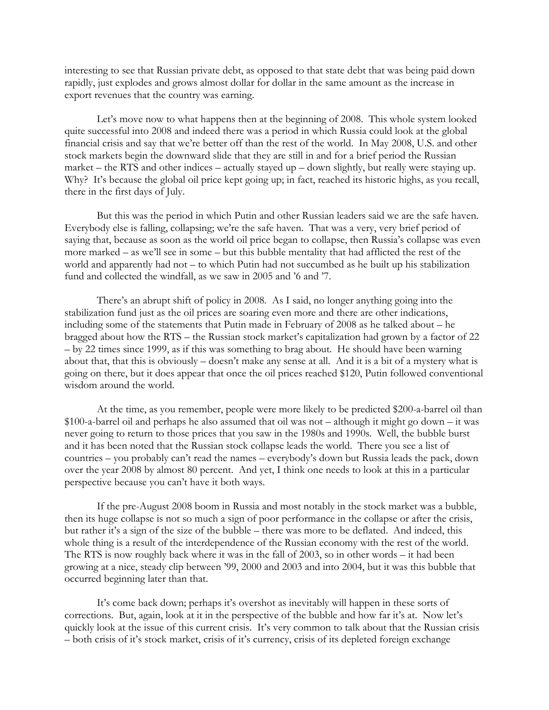interesting to see that Russian private debt, as opposed to that state debt that was being paid down rapidly, just explodes and grows almost dollar for dollar in the same amount as the increase in export revenues that the country was earning.

Let's move now to what happens then at the beginning of 2008. This whole system looked quite successful into 2008 and indeed there was a period in which Russia could look at the global financial crisis and say that we're better off than the rest of the world. In May 2008, U.S. and other stock markets begin the downward slide that they are still in and for a brief period the Russian market – the RTS and other indices – actually stayed up – down slightly, but really were staying up. Why? It's because the global oil price kept going up; in fact, reached its historic highs, as you recall, there in the first days of July.

But this was the period in which Putin and other Russian leaders said we are the safe haven. Everybody else is falling, collapsing; we're the safe haven. That was a very, very brief period of saying that, because as soon as the world oil price began to collapse, then Russia's collapse was even more marked – as we'll see in some – but this bubble mentality that had afflicted the rest of the world and apparently had not – to which Putin had not succumbed as he built up his stabilization fund and collected the windfall, as we saw in 2005 and '6 and '7.

There's an abrupt shift of policy in 2008. As I said, no longer anything going into the stabilization fund just as the oil prices are soaring even more and there are other indications, including some of the statements that Putin made in February of 2008 as he talked about – he bragged about how the RTS – the Russian stock market's capitalization had grown by a factor of 22 – by 22 times since 1999, as if this was something to brag about. He should have been warning about that, that this is obviously – doesn't make any sense at all. And it is a bit of a mystery what is going on there, but it does appear that once the oil prices reached \$120, Putin followed conventional wisdom around the world.

At the time, as you remember, people were more likely to be predicted \$200-a-barrel oil than \$100-a-barrel oil and perhaps he also assumed that oil was not – although it might go down – it was never going to return to those prices that you saw in the 1980s and 1990s. Well, the bubble burst and it has been noted that the Russian stock collapse leads the world. There you see a list of countries – you probably can't read the names – everybody's down but Russia leads the pack, down over the year 2008 by almost 80 percent. And yet, I think one needs to look at this in a particular perspective because you can't have it both ways.

If the pre-August 2008 boom in Russia and most notably in the stock market was a bubble, then its huge collapse is not so much a sign of poor performance in the collapse or after the crisis, but rather it's a sign of the size of the bubble – there was more to be deflated. And indeed, this whole thing is a result of the interdependence of the Russian economy with the rest of the world. The RTS is now roughly back where it was in the fall of 2003, so in other words – it had been growing at a nice, steady clip between '99, 2000 and 2003 and into 2004, but it was this bubble that occurred beginning later than that.

It's come back down; perhaps it's overshot as inevitably will happen in these sorts of corrections. But, again, look at it in the perspective of the bubble and how far it's at. Now let's quickly look at the issue of this current crisis. It's very common to talk about that the Russian crisis – both crisis of it's stock market, crisis of it's currency, crisis of its depleted foreign exchange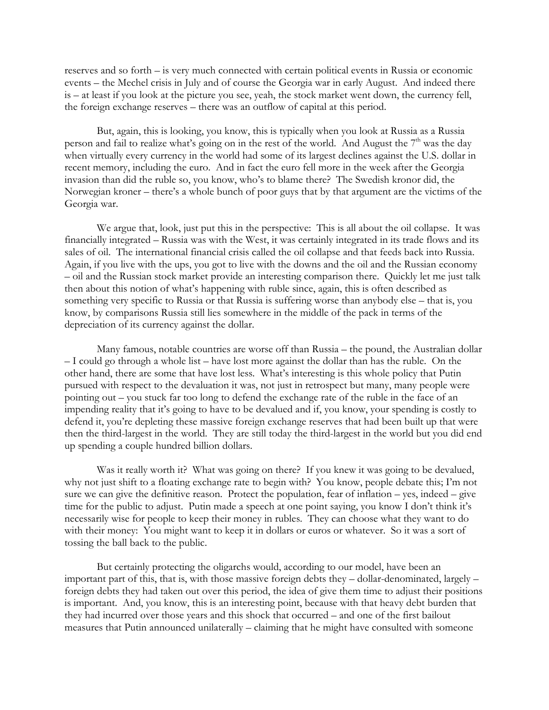reserves and so forth – is very much connected with certain political events in Russia or economic events – the Mechel crisis in July and of course the Georgia war in early August. And indeed there is – at least if you look at the picture you see, yeah, the stock market went down, the currency fell, the foreign exchange reserves – there was an outflow of capital at this period.

But, again, this is looking, you know, this is typically when you look at Russia as a Russia person and fail to realize what's going on in the rest of the world. And August the  $7<sup>th</sup>$  was the day when virtually every currency in the world had some of its largest declines against the U.S. dollar in recent memory, including the euro. And in fact the euro fell more in the week after the Georgia invasion than did the ruble so, you know, who's to blame there? The Swedish kronor did, the Norwegian kroner – there's a whole bunch of poor guys that by that argument are the victims of the Georgia war.

We argue that, look, just put this in the perspective: This is all about the oil collapse. It was financially integrated – Russia was with the West, it was certainly integrated in its trade flows and its sales of oil. The international financial crisis called the oil collapse and that feeds back into Russia. Again, if you live with the ups, you got to live with the downs and the oil and the Russian economy – oil and the Russian stock market provide an interesting comparison there. Quickly let me just talk then about this notion of what's happening with ruble since, again, this is often described as something very specific to Russia or that Russia is suffering worse than anybody else – that is, you know, by comparisons Russia still lies somewhere in the middle of the pack in terms of the depreciation of its currency against the dollar.

Many famous, notable countries are worse off than Russia – the pound, the Australian dollar – I could go through a whole list – have lost more against the dollar than has the ruble. On the other hand, there are some that have lost less. What's interesting is this whole policy that Putin pursued with respect to the devaluation it was, not just in retrospect but many, many people were pointing out – you stuck far too long to defend the exchange rate of the ruble in the face of an impending reality that it's going to have to be devalued and if, you know, your spending is costly to defend it, you're depleting these massive foreign exchange reserves that had been built up that were then the third-largest in the world. They are still today the third-largest in the world but you did end up spending a couple hundred billion dollars.

Was it really worth it? What was going on there? If you knew it was going to be devalued, why not just shift to a floating exchange rate to begin with? You know, people debate this; I'm not sure we can give the definitive reason. Protect the population, fear of inflation – yes, indeed – give time for the public to adjust. Putin made a speech at one point saying, you know I don't think it's necessarily wise for people to keep their money in rubles. They can choose what they want to do with their money: You might want to keep it in dollars or euros or whatever. So it was a sort of tossing the ball back to the public.

But certainly protecting the oligarchs would, according to our model, have been an important part of this, that is, with those massive foreign debts they – dollar-denominated, largely – foreign debts they had taken out over this period, the idea of give them time to adjust their positions is important. And, you know, this is an interesting point, because with that heavy debt burden that they had incurred over those years and this shock that occurred – and one of the first bailout measures that Putin announced unilaterally – claiming that he might have consulted with someone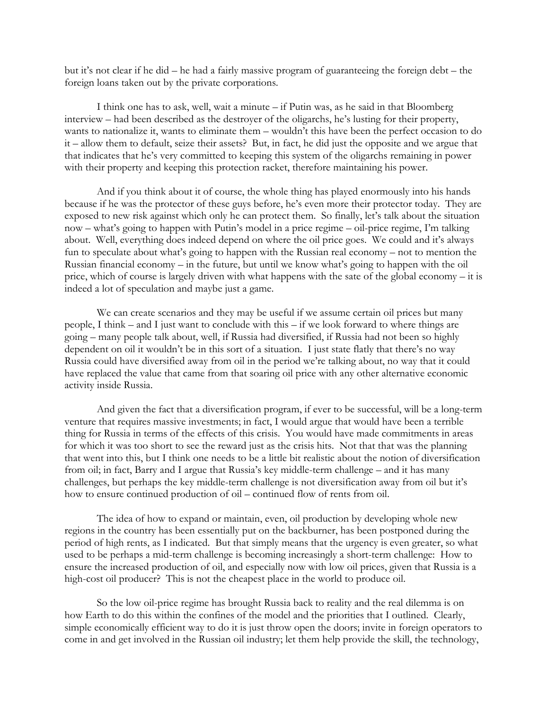but it's not clear if he did – he had a fairly massive program of guaranteeing the foreign debt – the foreign loans taken out by the private corporations.

I think one has to ask, well, wait a minute – if Putin was, as he said in that Bloomberg interview – had been described as the destroyer of the oligarchs, he's lusting for their property, wants to nationalize it, wants to eliminate them – wouldn't this have been the perfect occasion to do it – allow them to default, seize their assets? But, in fact, he did just the opposite and we argue that that indicates that he's very committed to keeping this system of the oligarchs remaining in power with their property and keeping this protection racket, therefore maintaining his power.

And if you think about it of course, the whole thing has played enormously into his hands because if he was the protector of these guys before, he's even more their protector today. They are exposed to new risk against which only he can protect them. So finally, let's talk about the situation now – what's going to happen with Putin's model in a price regime – oil-price regime, I'm talking about. Well, everything does indeed depend on where the oil price goes. We could and it's always fun to speculate about what's going to happen with the Russian real economy – not to mention the Russian financial economy – in the future, but until we know what's going to happen with the oil price, which of course is largely driven with what happens with the sate of the global economy – it is indeed a lot of speculation and maybe just a game.

We can create scenarios and they may be useful if we assume certain oil prices but many people, I think – and I just want to conclude with this – if we look forward to where things are going – many people talk about, well, if Russia had diversified, if Russia had not been so highly dependent on oil it wouldn't be in this sort of a situation. I just state flatly that there's no way Russia could have diversified away from oil in the period we're talking about, no way that it could have replaced the value that came from that soaring oil price with any other alternative economic activity inside Russia.

And given the fact that a diversification program, if ever to be successful, will be a long-term venture that requires massive investments; in fact, I would argue that would have been a terrible thing for Russia in terms of the effects of this crisis. You would have made commitments in areas for which it was too short to see the reward just as the crisis hits. Not that that was the planning that went into this, but I think one needs to be a little bit realistic about the notion of diversification from oil; in fact, Barry and I argue that Russia's key middle-term challenge – and it has many challenges, but perhaps the key middle-term challenge is not diversification away from oil but it's how to ensure continued production of oil – continued flow of rents from oil.

The idea of how to expand or maintain, even, oil production by developing whole new regions in the country has been essentially put on the backburner, has been postponed during the period of high rents, as I indicated. But that simply means that the urgency is even greater, so what used to be perhaps a mid-term challenge is becoming increasingly a short-term challenge: How to ensure the increased production of oil, and especially now with low oil prices, given that Russia is a high-cost oil producer? This is not the cheapest place in the world to produce oil.

So the low oil-price regime has brought Russia back to reality and the real dilemma is on how Earth to do this within the confines of the model and the priorities that I outlined. Clearly, simple economically efficient way to do it is just throw open the doors; invite in foreign operators to come in and get involved in the Russian oil industry; let them help provide the skill, the technology,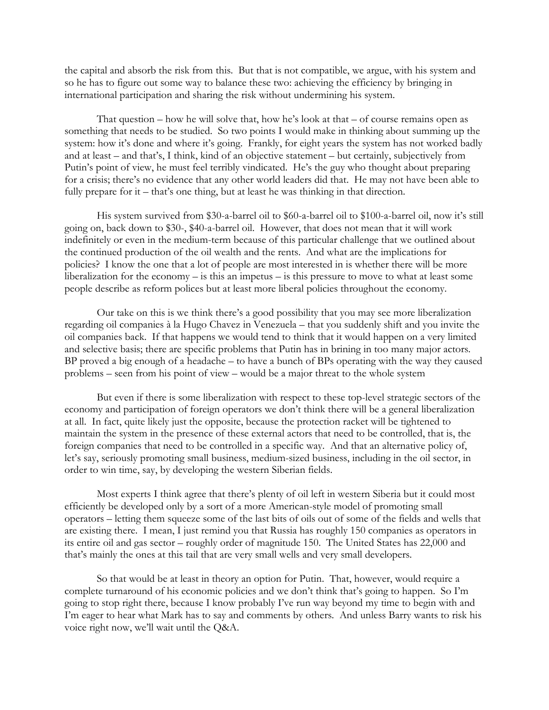the capital and absorb the risk from this. But that is not compatible, we argue, with his system and so he has to figure out some way to balance these two: achieving the efficiency by bringing in international participation and sharing the risk without undermining his system.

That question – how he will solve that, how he's look at that  $-$  of course remains open as something that needs to be studied. So two points I would make in thinking about summing up the system: how it's done and where it's going. Frankly, for eight years the system has not worked badly and at least – and that's, I think, kind of an objective statement – but certainly, subjectively from Putin's point of view, he must feel terribly vindicated. He's the guy who thought about preparing for a crisis; there's no evidence that any other world leaders did that. He may not have been able to fully prepare for it – that's one thing, but at least he was thinking in that direction.

His system survived from \$30-a-barrel oil to \$60-a-barrel oil to \$100-a-barrel oil, now it's still going on, back down to \$30-, \$40-a-barrel oil. However, that does not mean that it will work indefinitely or even in the medium-term because of this particular challenge that we outlined about the continued production of the oil wealth and the rents. And what are the implications for policies? I know the one that a lot of people are most interested in is whether there will be more liberalization for the economy – is this an impetus – is this pressure to move to what at least some people describe as reform polices but at least more liberal policies throughout the economy.

Our take on this is we think there's a good possibility that you may see more liberalization regarding oil companies à la Hugo Chavez in Venezuela – that you suddenly shift and you invite the oil companies back. If that happens we would tend to think that it would happen on a very limited and selective basis; there are specific problems that Putin has in brining in too many major actors. BP proved a big enough of a headache – to have a bunch of BPs operating with the way they caused problems – seen from his point of view – would be a major threat to the whole system

But even if there is some liberalization with respect to these top-level strategic sectors of the economy and participation of foreign operators we don't think there will be a general liberalization at all. In fact, quite likely just the opposite, because the protection racket will be tightened to maintain the system in the presence of these external actors that need to be controlled, that is, the foreign companies that need to be controlled in a specific way. And that an alternative policy of, let's say, seriously promoting small business, medium-sized business, including in the oil sector, in order to win time, say, by developing the western Siberian fields.

Most experts I think agree that there's plenty of oil left in western Siberia but it could most efficiently be developed only by a sort of a more American-style model of promoting small operators – letting them squeeze some of the last bits of oils out of some of the fields and wells that are existing there. I mean, I just remind you that Russia has roughly 150 companies as operators in its entire oil and gas sector – roughly order of magnitude 150. The United States has 22,000 and that's mainly the ones at this tail that are very small wells and very small developers.

So that would be at least in theory an option for Putin. That, however, would require a complete turnaround of his economic policies and we don't think that's going to happen. So I'm going to stop right there, because I know probably I've run way beyond my time to begin with and I'm eager to hear what Mark has to say and comments by others. And unless Barry wants to risk his voice right now, we'll wait until the Q&A.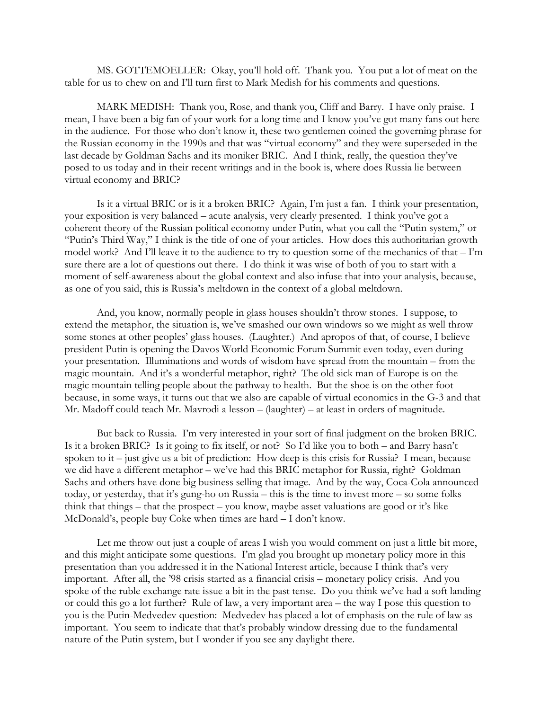MS. GOTTEMOELLER: Okay, you'll hold off. Thank you. You put a lot of meat on the table for us to chew on and I'll turn first to Mark Medish for his comments and questions.

MARK MEDISH: Thank you, Rose, and thank you, Cliff and Barry. I have only praise. I mean, I have been a big fan of your work for a long time and I know you've got many fans out here in the audience. For those who don't know it, these two gentlemen coined the governing phrase for the Russian economy in the 1990s and that was "virtual economy" and they were superseded in the last decade by Goldman Sachs and its moniker BRIC. And I think, really, the question they've posed to us today and in their recent writings and in the book is, where does Russia lie between virtual economy and BRIC?

Is it a virtual BRIC or is it a broken BRIC? Again, I'm just a fan. I think your presentation, your exposition is very balanced – acute analysis, very clearly presented. I think you've got a coherent theory of the Russian political economy under Putin, what you call the "Putin system," or "Putin's Third Way," I think is the title of one of your articles. How does this authoritarian growth model work? And I'll leave it to the audience to try to question some of the mechanics of that – I'm sure there are a lot of questions out there. I do think it was wise of both of you to start with a moment of self-awareness about the global context and also infuse that into your analysis, because, as one of you said, this is Russia's meltdown in the context of a global meltdown.

And, you know, normally people in glass houses shouldn't throw stones. I suppose, to extend the metaphor, the situation is, we've smashed our own windows so we might as well throw some stones at other peoples' glass houses. (Laughter.) And apropos of that, of course, I believe president Putin is opening the Davos World Economic Forum Summit even today, even during your presentation. Illuminations and words of wisdom have spread from the mountain – from the magic mountain. And it's a wonderful metaphor, right? The old sick man of Europe is on the magic mountain telling people about the pathway to health. But the shoe is on the other foot because, in some ways, it turns out that we also are capable of virtual economics in the G-3 and that Mr. Madoff could teach Mr. Mavrodi a lesson – (laughter) – at least in orders of magnitude.

But back to Russia. I'm very interested in your sort of final judgment on the broken BRIC. Is it a broken BRIC? Is it going to fix itself, or not? So I'd like you to both – and Barry hasn't spoken to it – just give us a bit of prediction: How deep is this crisis for Russia? I mean, because we did have a different metaphor – we've had this BRIC metaphor for Russia, right? Goldman Sachs and others have done big business selling that image. And by the way, Coca-Cola announced today, or yesterday, that it's gung-ho on Russia – this is the time to invest more – so some folks think that things – that the prospect – you know, maybe asset valuations are good or it's like McDonald's, people buy Coke when times are hard – I don't know.

Let me throw out just a couple of areas I wish you would comment on just a little bit more, and this might anticipate some questions. I'm glad you brought up monetary policy more in this presentation than you addressed it in the National Interest article, because I think that's very important. After all, the '98 crisis started as a financial crisis – monetary policy crisis. And you spoke of the ruble exchange rate issue a bit in the past tense. Do you think we've had a soft landing or could this go a lot further? Rule of law, a very important area – the way I pose this question to you is the Putin-Medvedev question: Medvedev has placed a lot of emphasis on the rule of law as important. You seem to indicate that that's probably window dressing due to the fundamental nature of the Putin system, but I wonder if you see any daylight there.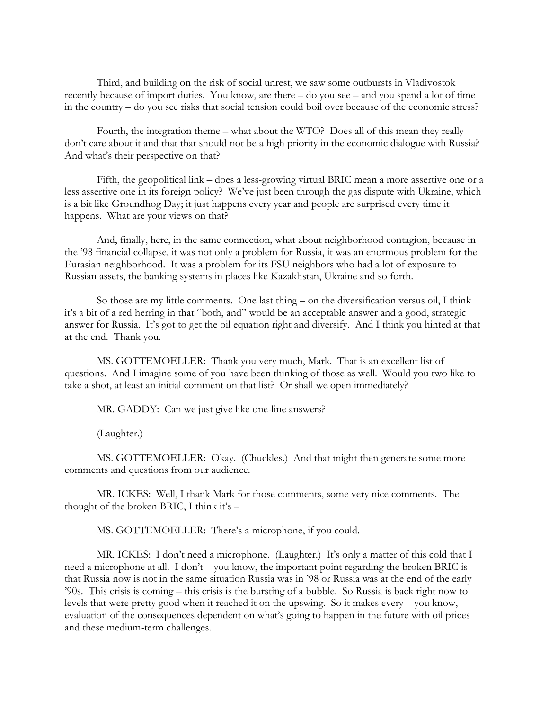Third, and building on the risk of social unrest, we saw some outbursts in Vladivostok recently because of import duties. You know, are there – do you see – and you spend a lot of time in the country – do you see risks that social tension could boil over because of the economic stress?

Fourth, the integration theme – what about the WTO? Does all of this mean they really don't care about it and that that should not be a high priority in the economic dialogue with Russia? And what's their perspective on that?

Fifth, the geopolitical link – does a less-growing virtual BRIC mean a more assertive one or a less assertive one in its foreign policy? We've just been through the gas dispute with Ukraine, which is a bit like Groundhog Day; it just happens every year and people are surprised every time it happens. What are your views on that?

And, finally, here, in the same connection, what about neighborhood contagion, because in the '98 financial collapse, it was not only a problem for Russia, it was an enormous problem for the Eurasian neighborhood. It was a problem for its FSU neighbors who had a lot of exposure to Russian assets, the banking systems in places like Kazakhstan, Ukraine and so forth.

So those are my little comments. One last thing – on the diversification versus oil, I think it's a bit of a red herring in that "both, and" would be an acceptable answer and a good, strategic answer for Russia. It's got to get the oil equation right and diversify. And I think you hinted at that at the end. Thank you.

MS. GOTTEMOELLER: Thank you very much, Mark. That is an excellent list of questions. And I imagine some of you have been thinking of those as well. Would you two like to take a shot, at least an initial comment on that list? Or shall we open immediately?

MR. GADDY: Can we just give like one-line answers?

(Laughter.)

MS. GOTTEMOELLER: Okay. (Chuckles.) And that might then generate some more comments and questions from our audience.

MR. ICKES: Well, I thank Mark for those comments, some very nice comments. The thought of the broken BRIC, I think it's –

MS. GOTTEMOELLER: There's a microphone, if you could.

MR. ICKES: I don't need a microphone. (Laughter.) It's only a matter of this cold that I need a microphone at all. I don't – you know, the important point regarding the broken BRIC is that Russia now is not in the same situation Russia was in '98 or Russia was at the end of the early '90s. This crisis is coming – this crisis is the bursting of a bubble. So Russia is back right now to levels that were pretty good when it reached it on the upswing. So it makes every – you know, evaluation of the consequences dependent on what's going to happen in the future with oil prices and these medium-term challenges.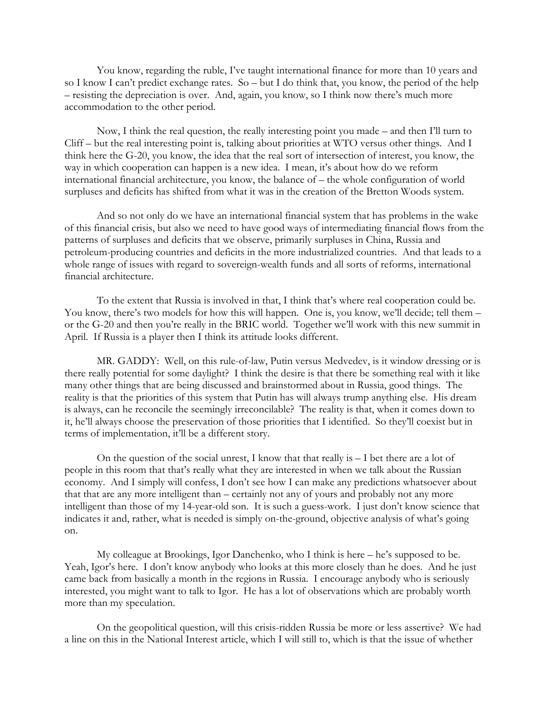You know, regarding the ruble, I've taught international finance for more than 10 years and so I know I can't predict exchange rates. So – but I do think that, you know, the period of the help – resisting the depreciation is over. And, again, you know, so I think now there's much more accommodation to the other period.

Now, I think the real question, the really interesting point you made – and then I'll turn to Cliff – but the real interesting point is, talking about priorities at WTO versus other things. And I think here the G-20, you know, the idea that the real sort of intersection of interest, you know, the way in which cooperation can happen is a new idea. I mean, it's about how do we reform international financial architecture, you know, the balance of – the whole configuration of world surpluses and deficits has shifted from what it was in the creation of the Bretton Woods system.

And so not only do we have an international financial system that has problems in the wake of this financial crisis, but also we need to have good ways of intermediating financial flows from the patterns of surpluses and deficits that we observe, primarily surpluses in China, Russia and petroleum-producing countries and deficits in the more industrialized countries. And that leads to a whole range of issues with regard to sovereign-wealth funds and all sorts of reforms, international financial architecture.

To the extent that Russia is involved in that, I think that's where real cooperation could be. You know, there's two models for how this will happen. One is, you know, we'll decide; tell them – or the G-20 and then you're really in the BRIC world. Together we'll work with this new summit in April. If Russia is a player then I think its attitude looks different.

MR. GADDY: Well, on this rule-of-law, Putin versus Medvedev, is it window dressing or is there really potential for some daylight? I think the desire is that there be something real with it like many other things that are being discussed and brainstormed about in Russia, good things. The reality is that the priorities of this system that Putin has will always trump anything else. His dream is always, can he reconcile the seemingly irreconcilable? The reality is that, when it comes down to it, he'll always choose the preservation of those priorities that I identified. So they'll coexist but in terms of implementation, it'll be a different story.

On the question of the social unrest, I know that that really is – I bet there are a lot of people in this room that that's really what they are interested in when we talk about the Russian economy. And I simply will confess, I don't see how I can make any predictions whatsoever about that that are any more intelligent than – certainly not any of yours and probably not any more intelligent than those of my 14-year-old son. It is such a guess-work. I just don't know science that indicates it and, rather, what is needed is simply on-the-ground, objective analysis of what's going on.

My colleague at Brookings, Igor Danchenko, who I think is here – he's supposed to be. Yeah, Igor's here. I don't know anybody who looks at this more closely than he does. And he just came back from basically a month in the regions in Russia. I encourage anybody who is seriously interested, you might want to talk to Igor. He has a lot of observations which are probably worth more than my speculation.

On the geopolitical question, will this crisis-ridden Russia be more or less assertive? We had a line on this in the National Interest article, which I will still to, which is that the issue of whether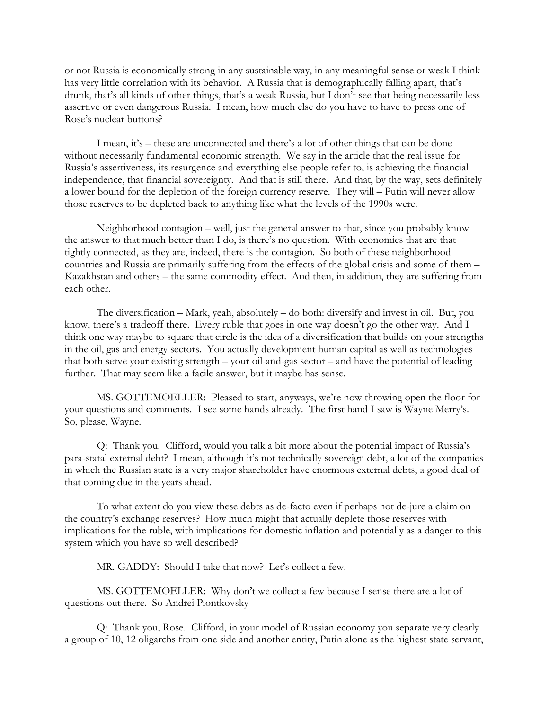or not Russia is economically strong in any sustainable way, in any meaningful sense or weak I think has very little correlation with its behavior. A Russia that is demographically falling apart, that's drunk, that's all kinds of other things, that's a weak Russia, but I don't see that being necessarily less assertive or even dangerous Russia. I mean, how much else do you have to have to press one of Rose's nuclear buttons?

I mean, it's – these are unconnected and there's a lot of other things that can be done without necessarily fundamental economic strength. We say in the article that the real issue for Russia's assertiveness, its resurgence and everything else people refer to, is achieving the financial independence, that financial sovereignty. And that is still there. And that, by the way, sets definitely a lower bound for the depletion of the foreign currency reserve. They will – Putin will never allow those reserves to be depleted back to anything like what the levels of the 1990s were.

Neighborhood contagion – well, just the general answer to that, since you probably know the answer to that much better than I do, is there's no question. With economics that are that tightly connected, as they are, indeed, there is the contagion. So both of these neighborhood countries and Russia are primarily suffering from the effects of the global crisis and some of them – Kazakhstan and others – the same commodity effect. And then, in addition, they are suffering from each other.

The diversification – Mark, yeah, absolutely – do both: diversify and invest in oil. But, you know, there's a tradeoff there. Every ruble that goes in one way doesn't go the other way. And I think one way maybe to square that circle is the idea of a diversification that builds on your strengths in the oil, gas and energy sectors. You actually development human capital as well as technologies that both serve your existing strength – your oil-and-gas sector – and have the potential of leading further. That may seem like a facile answer, but it maybe has sense.

MS. GOTTEMOELLER: Pleased to start, anyways, we're now throwing open the floor for your questions and comments. I see some hands already. The first hand I saw is Wayne Merry's. So, please, Wayne.

Q: Thank you. Clifford, would you talk a bit more about the potential impact of Russia's para-statal external debt? I mean, although it's not technically sovereign debt, a lot of the companies in which the Russian state is a very major shareholder have enormous external debts, a good deal of that coming due in the years ahead.

To what extent do you view these debts as de-facto even if perhaps not de-jure a claim on the country's exchange reserves? How much might that actually deplete those reserves with implications for the ruble, with implications for domestic inflation and potentially as a danger to this system which you have so well described?

MR. GADDY: Should I take that now? Let's collect a few.

MS. GOTTEMOELLER: Why don't we collect a few because I sense there are a lot of questions out there. So Andrei Piontkovsky –

Q: Thank you, Rose. Clifford, in your model of Russian economy you separate very clearly a group of 10, 12 oligarchs from one side and another entity, Putin alone as the highest state servant,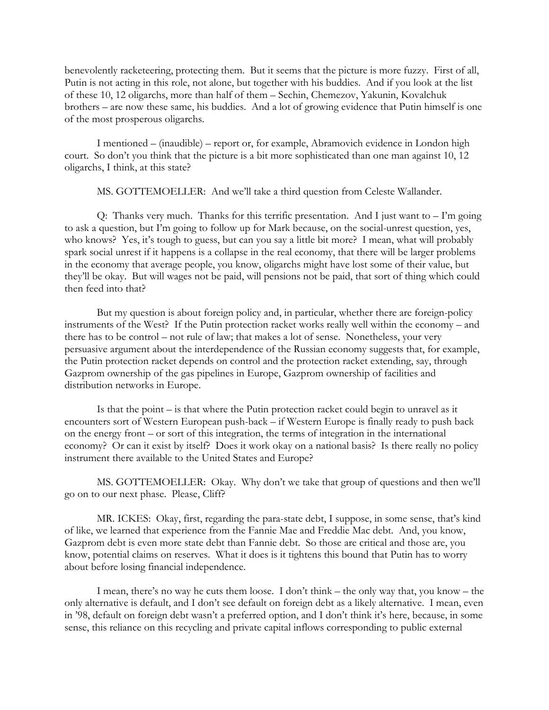benevolently racketeering, protecting them. But it seems that the picture is more fuzzy. First of all, Putin is not acting in this role, not alone, but together with his buddies. And if you look at the list of these 10, 12 oligarchs, more than half of them – Sechin, Chemezov, Yakunin, Kovalchuk brothers – are now these same, his buddies. And a lot of growing evidence that Putin himself is one of the most prosperous oligarchs.

I mentioned – (inaudible) – report or, for example, Abramovich evidence in London high court. So don't you think that the picture is a bit more sophisticated than one man against 10, 12 oligarchs, I think, at this state?

MS. GOTTEMOELLER: And we'll take a third question from Celeste Wallander.

Q: Thanks very much. Thanks for this terrific presentation. And I just want to – I'm going to ask a question, but I'm going to follow up for Mark because, on the social-unrest question, yes, who knows? Yes, it's tough to guess, but can you say a little bit more? I mean, what will probably spark social unrest if it happens is a collapse in the real economy, that there will be larger problems in the economy that average people, you know, oligarchs might have lost some of their value, but they'll be okay. But will wages not be paid, will pensions not be paid, that sort of thing which could then feed into that?

But my question is about foreign policy and, in particular, whether there are foreign-policy instruments of the West? If the Putin protection racket works really well within the economy – and there has to be control – not rule of law; that makes a lot of sense. Nonetheless, your very persuasive argument about the interdependence of the Russian economy suggests that, for example, the Putin protection racket depends on control and the protection racket extending, say, through Gazprom ownership of the gas pipelines in Europe, Gazprom ownership of facilities and distribution networks in Europe.

Is that the point – is that where the Putin protection racket could begin to unravel as it encounters sort of Western European push-back – if Western Europe is finally ready to push back on the energy front – or sort of this integration, the terms of integration in the international economy? Or can it exist by itself? Does it work okay on a national basis? Is there really no policy instrument there available to the United States and Europe?

MS. GOTTEMOELLER: Okay. Why don't we take that group of questions and then we'll go on to our next phase. Please, Cliff?

MR. ICKES: Okay, first, regarding the para-state debt, I suppose, in some sense, that's kind of like, we learned that experience from the Fannie Mae and Freddie Mac debt. And, you know, Gazprom debt is even more state debt than Fannie debt. So those are critical and those are, you know, potential claims on reserves. What it does is it tightens this bound that Putin has to worry about before losing financial independence.

I mean, there's no way he cuts them loose. I don't think – the only way that, you know – the only alternative is default, and I don't see default on foreign debt as a likely alternative. I mean, even in '98, default on foreign debt wasn't a preferred option, and I don't think it's here, because, in some sense, this reliance on this recycling and private capital inflows corresponding to public external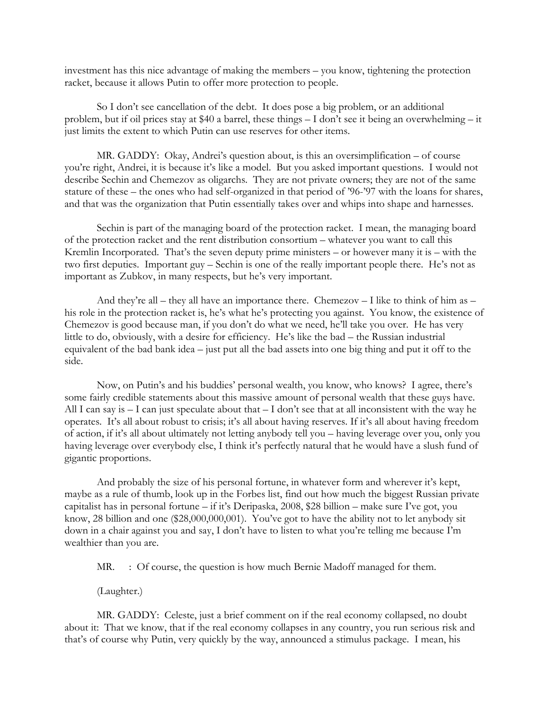investment has this nice advantage of making the members – you know, tightening the protection racket, because it allows Putin to offer more protection to people.

So I don't see cancellation of the debt. It does pose a big problem, or an additional problem, but if oil prices stay at \$40 a barrel, these things – I don't see it being an overwhelming – it just limits the extent to which Putin can use reserves for other items.

MR. GADDY: Okay, Andrei's question about, is this an oversimplification – of course you're right, Andrei, it is because it's like a model. But you asked important questions. I would not describe Sechin and Chemezov as oligarchs. They are not private owners; they are not of the same stature of these – the ones who had self-organized in that period of '96-'97 with the loans for shares, and that was the organization that Putin essentially takes over and whips into shape and harnesses.

Sechin is part of the managing board of the protection racket. I mean, the managing board of the protection racket and the rent distribution consortium – whatever you want to call this Kremlin Incorporated. That's the seven deputy prime ministers – or however many it is – with the two first deputies. Important guy – Sechin is one of the really important people there. He's not as important as Zubkov, in many respects, but he's very important.

And they're all – they all have an importance there. Chemezov – I like to think of him as – his role in the protection racket is, he's what he's protecting you against. You know, the existence of Chemezov is good because man, if you don't do what we need, he'll take you over. He has very little to do, obviously, with a desire for efficiency. He's like the bad – the Russian industrial equivalent of the bad bank idea – just put all the bad assets into one big thing and put it off to the side.

Now, on Putin's and his buddies' personal wealth, you know, who knows? I agree, there's some fairly credible statements about this massive amount of personal wealth that these guys have. All I can say is – I can just speculate about that – I don't see that at all inconsistent with the way he operates. It's all about robust to crisis; it's all about having reserves. If it's all about having freedom of action, if it's all about ultimately not letting anybody tell you – having leverage over you, only you having leverage over everybody else, I think it's perfectly natural that he would have a slush fund of gigantic proportions.

And probably the size of his personal fortune, in whatever form and wherever it's kept, maybe as a rule of thumb, look up in the Forbes list, find out how much the biggest Russian private capitalist has in personal fortune – if it's Deripaska, 2008, \$28 billion – make sure I've got, you know, 28 billion and one (\$28,000,000,001). You've got to have the ability not to let anybody sit down in a chair against you and say, I don't have to listen to what you're telling me because I'm wealthier than you are.

MR. : Of course, the question is how much Bernie Madoff managed for them.

(Laughter.)

MR. GADDY: Celeste, just a brief comment on if the real economy collapsed, no doubt about it: That we know, that if the real economy collapses in any country, you run serious risk and that's of course why Putin, very quickly by the way, announced a stimulus package. I mean, his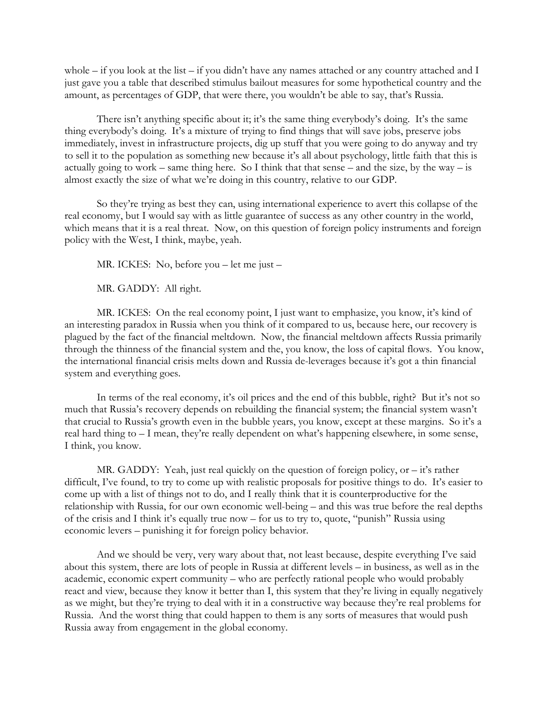whole – if you look at the list – if you didn't have any names attached or any country attached and I just gave you a table that described stimulus bailout measures for some hypothetical country and the amount, as percentages of GDP, that were there, you wouldn't be able to say, that's Russia.

There isn't anything specific about it; it's the same thing everybody's doing. It's the same thing everybody's doing. It's a mixture of trying to find things that will save jobs, preserve jobs immediately, invest in infrastructure projects, dig up stuff that you were going to do anyway and try to sell it to the population as something new because it's all about psychology, little faith that this is actually going to work – same thing here. So I think that that sense – and the size, by the way – is almost exactly the size of what we're doing in this country, relative to our GDP.

So they're trying as best they can, using international experience to avert this collapse of the real economy, but I would say with as little guarantee of success as any other country in the world, which means that it is a real threat. Now, on this question of foreign policy instruments and foreign policy with the West, I think, maybe, yeah.

MR. ICKES: No, before you – let me just –

MR. GADDY: All right.

MR. ICKES: On the real economy point, I just want to emphasize, you know, it's kind of an interesting paradox in Russia when you think of it compared to us, because here, our recovery is plagued by the fact of the financial meltdown. Now, the financial meltdown affects Russia primarily through the thinness of the financial system and the, you know, the loss of capital flows. You know, the international financial crisis melts down and Russia de-leverages because it's got a thin financial system and everything goes.

In terms of the real economy, it's oil prices and the end of this bubble, right? But it's not so much that Russia's recovery depends on rebuilding the financial system; the financial system wasn't that crucial to Russia's growth even in the bubble years, you know, except at these margins. So it's a real hard thing to – I mean, they're really dependent on what's happening elsewhere, in some sense, I think, you know.

MR. GADDY: Yeah, just real quickly on the question of foreign policy, or – it's rather difficult, I've found, to try to come up with realistic proposals for positive things to do. It's easier to come up with a list of things not to do, and I really think that it is counterproductive for the relationship with Russia, for our own economic well-being – and this was true before the real depths of the crisis and I think it's equally true now – for us to try to, quote, "punish" Russia using economic levers – punishing it for foreign policy behavior.

And we should be very, very wary about that, not least because, despite everything I've said about this system, there are lots of people in Russia at different levels – in business, as well as in the academic, economic expert community – who are perfectly rational people who would probably react and view, because they know it better than I, this system that they're living in equally negatively as we might, but they're trying to deal with it in a constructive way because they're real problems for Russia. And the worst thing that could happen to them is any sorts of measures that would push Russia away from engagement in the global economy.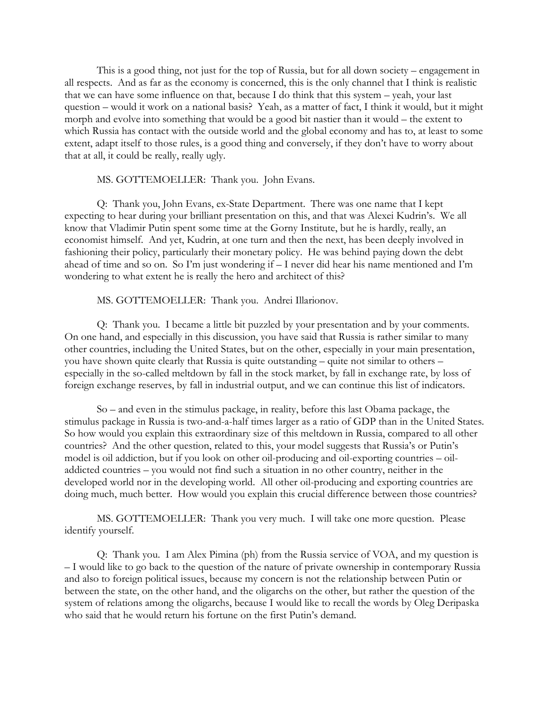This is a good thing, not just for the top of Russia, but for all down society – engagement in all respects. And as far as the economy is concerned, this is the only channel that I think is realistic that we can have some influence on that, because I do think that this system – yeah, your last question – would it work on a national basis? Yeah, as a matter of fact, I think it would, but it might morph and evolve into something that would be a good bit nastier than it would – the extent to which Russia has contact with the outside world and the global economy and has to, at least to some extent, adapt itself to those rules, is a good thing and conversely, if they don't have to worry about that at all, it could be really, really ugly.

#### MS. GOTTEMOELLER: Thank you. John Evans.

Q: Thank you, John Evans, ex-State Department. There was one name that I kept expecting to hear during your brilliant presentation on this, and that was Alexei Kudrin's. We all know that Vladimir Putin spent some time at the Gorny Institute, but he is hardly, really, an economist himself. And yet, Kudrin, at one turn and then the next, has been deeply involved in fashioning their policy, particularly their monetary policy. He was behind paying down the debt ahead of time and so on. So I'm just wondering if – I never did hear his name mentioned and I'm wondering to what extent he is really the hero and architect of this?

### MS. GOTTEMOELLER: Thank you. Andrei Illarionov.

Q: Thank you. I became a little bit puzzled by your presentation and by your comments. On one hand, and especially in this discussion, you have said that Russia is rather similar to many other countries, including the United States, but on the other, especially in your main presentation, you have shown quite clearly that Russia is quite outstanding – quite not similar to others – especially in the so-called meltdown by fall in the stock market, by fall in exchange rate, by loss of foreign exchange reserves, by fall in industrial output, and we can continue this list of indicators.

So – and even in the stimulus package, in reality, before this last Obama package, the stimulus package in Russia is two-and-a-half times larger as a ratio of GDP than in the United States. So how would you explain this extraordinary size of this meltdown in Russia, compared to all other countries? And the other question, related to this, your model suggests that Russia's or Putin's model is oil addiction, but if you look on other oil-producing and oil-exporting countries – oiladdicted countries – you would not find such a situation in no other country, neither in the developed world nor in the developing world. All other oil-producing and exporting countries are doing much, much better. How would you explain this crucial difference between those countries?

MS. GOTTEMOELLER: Thank you very much. I will take one more question. Please identify yourself.

Q: Thank you. I am Alex Pimina (ph) from the Russia service of VOA, and my question is – I would like to go back to the question of the nature of private ownership in contemporary Russia and also to foreign political issues, because my concern is not the relationship between Putin or between the state, on the other hand, and the oligarchs on the other, but rather the question of the system of relations among the oligarchs, because I would like to recall the words by Oleg Deripaska who said that he would return his fortune on the first Putin's demand.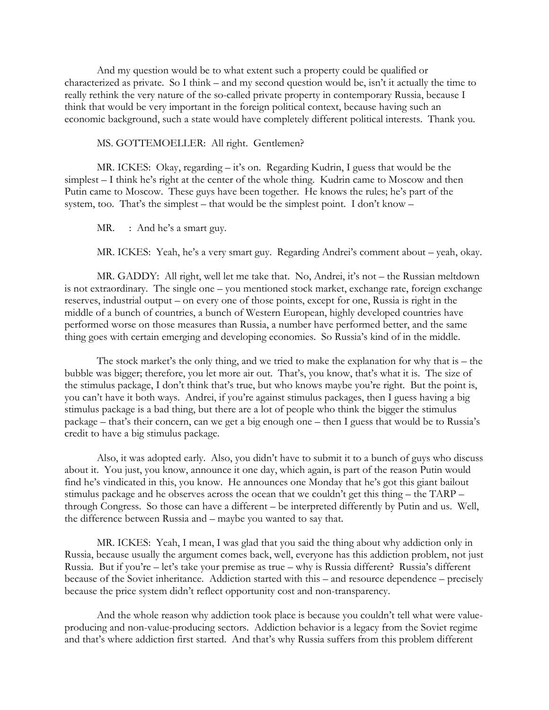And my question would be to what extent such a property could be qualified or characterized as private. So I think – and my second question would be, isn't it actually the time to really rethink the very nature of the so-called private property in contemporary Russia, because I think that would be very important in the foreign political context, because having such an economic background, such a state would have completely different political interests. Thank you.

#### MS. GOTTEMOELLER: All right. Gentlemen?

MR. ICKES: Okay, regarding – it's on. Regarding Kudrin, I guess that would be the simplest – I think he's right at the center of the whole thing. Kudrin came to Moscow and then Putin came to Moscow. These guys have been together. He knows the rules; he's part of the system, too. That's the simplest – that would be the simplest point. I don't know –

MR. : And he's a smart guy.

MR. ICKES: Yeah, he's a very smart guy. Regarding Andrei's comment about – yeah, okay.

MR. GADDY: All right, well let me take that. No, Andrei, it's not – the Russian meltdown is not extraordinary. The single one – you mentioned stock market, exchange rate, foreign exchange reserves, industrial output – on every one of those points, except for one, Russia is right in the middle of a bunch of countries, a bunch of Western European, highly developed countries have performed worse on those measures than Russia, a number have performed better, and the same thing goes with certain emerging and developing economies. So Russia's kind of in the middle.

The stock market's the only thing, and we tried to make the explanation for why that is – the bubble was bigger; therefore, you let more air out. That's, you know, that's what it is. The size of the stimulus package, I don't think that's true, but who knows maybe you're right. But the point is, you can't have it both ways. Andrei, if you're against stimulus packages, then I guess having a big stimulus package is a bad thing, but there are a lot of people who think the bigger the stimulus package – that's their concern, can we get a big enough one – then I guess that would be to Russia's credit to have a big stimulus package.

Also, it was adopted early. Also, you didn't have to submit it to a bunch of guys who discuss about it. You just, you know, announce it one day, which again, is part of the reason Putin would find he's vindicated in this, you know. He announces one Monday that he's got this giant bailout stimulus package and he observes across the ocean that we couldn't get this thing – the TARP – through Congress. So those can have a different – be interpreted differently by Putin and us. Well, the difference between Russia and – maybe you wanted to say that.

MR. ICKES: Yeah, I mean, I was glad that you said the thing about why addiction only in Russia, because usually the argument comes back, well, everyone has this addiction problem, not just Russia. But if you're – let's take your premise as true – why is Russia different? Russia's different because of the Soviet inheritance. Addiction started with this – and resource dependence – precisely because the price system didn't reflect opportunity cost and non-transparency.

And the whole reason why addiction took place is because you couldn't tell what were valueproducing and non-value-producing sectors. Addiction behavior is a legacy from the Soviet regime and that's where addiction first started. And that's why Russia suffers from this problem different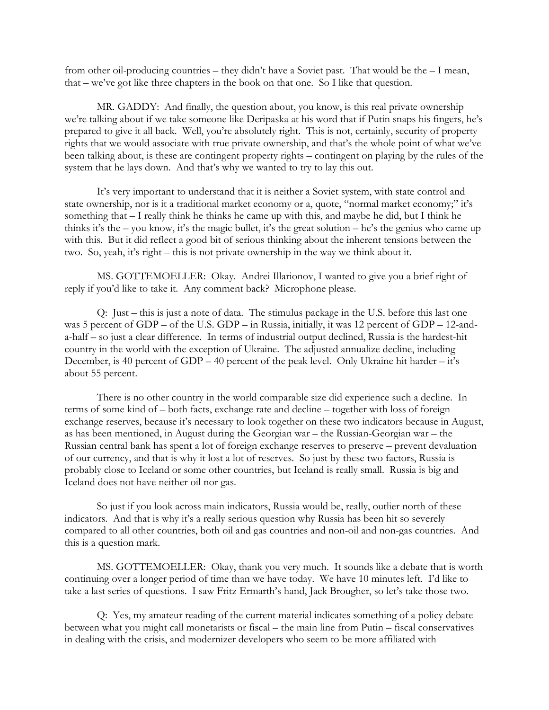from other oil-producing countries – they didn't have a Soviet past. That would be the – I mean, that – we've got like three chapters in the book on that one. So I like that question.

MR. GADDY: And finally, the question about, you know, is this real private ownership we're talking about if we take someone like Deripaska at his word that if Putin snaps his fingers, he's prepared to give it all back. Well, you're absolutely right. This is not, certainly, security of property rights that we would associate with true private ownership, and that's the whole point of what we've been talking about, is these are contingent property rights – contingent on playing by the rules of the system that he lays down. And that's why we wanted to try to lay this out.

It's very important to understand that it is neither a Soviet system, with state control and state ownership, nor is it a traditional market economy or a, quote, "normal market economy;" it's something that – I really think he thinks he came up with this, and maybe he did, but I think he thinks it's the – you know, it's the magic bullet, it's the great solution – he's the genius who came up with this. But it did reflect a good bit of serious thinking about the inherent tensions between the two. So, yeah, it's right – this is not private ownership in the way we think about it.

MS. GOTTEMOELLER: Okay. Andrei Illarionov, I wanted to give you a brief right of reply if you'd like to take it. Any comment back? Microphone please.

Q: Just – this is just a note of data. The stimulus package in the U.S. before this last one was 5 percent of GDP – of the U.S. GDP – in Russia, initially, it was 12 percent of GDP – 12-anda-half – so just a clear difference. In terms of industrial output declined, Russia is the hardest-hit country in the world with the exception of Ukraine. The adjusted annualize decline, including December, is 40 percent of GDP – 40 percent of the peak level. Only Ukraine hit harder – it's about 55 percent.

There is no other country in the world comparable size did experience such a decline. In terms of some kind of – both facts, exchange rate and decline – together with loss of foreign exchange reserves, because it's necessary to look together on these two indicators because in August, as has been mentioned, in August during the Georgian war – the Russian-Georgian war – the Russian central bank has spent a lot of foreign exchange reserves to preserve – prevent devaluation of our currency, and that is why it lost a lot of reserves. So just by these two factors, Russia is probably close to Iceland or some other countries, but Iceland is really small. Russia is big and Iceland does not have neither oil nor gas.

So just if you look across main indicators, Russia would be, really, outlier north of these indicators. And that is why it's a really serious question why Russia has been hit so severely compared to all other countries, both oil and gas countries and non-oil and non-gas countries. And this is a question mark.

MS. GOTTEMOELLER: Okay, thank you very much. It sounds like a debate that is worth continuing over a longer period of time than we have today. We have 10 minutes left. I'd like to take a last series of questions. I saw Fritz Ermarth's hand, Jack Brougher, so let's take those two.

Q: Yes, my amateur reading of the current material indicates something of a policy debate between what you might call monetarists or fiscal – the main line from Putin – fiscal conservatives in dealing with the crisis, and modernizer developers who seem to be more affiliated with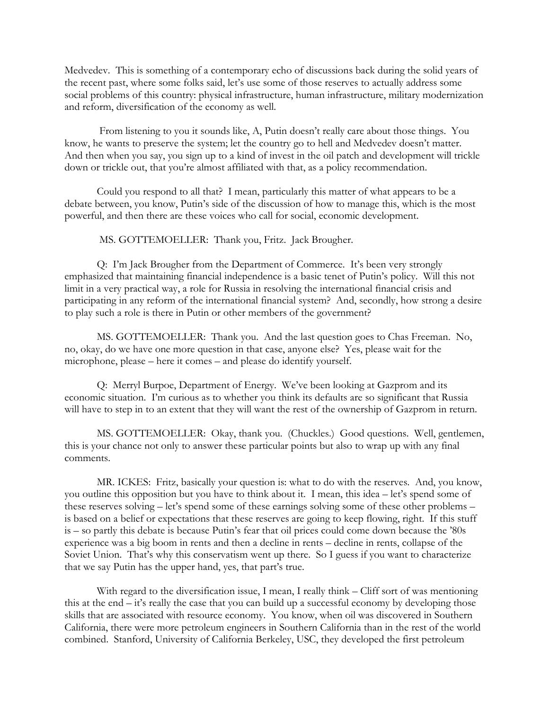Medvedev. This is something of a contemporary echo of discussions back during the solid years of the recent past, where some folks said, let's use some of those reserves to actually address some social problems of this country: physical infrastructure, human infrastructure, military modernization and reform, diversification of the economy as well.

 From listening to you it sounds like, A, Putin doesn't really care about those things. You know, he wants to preserve the system; let the country go to hell and Medvedev doesn't matter. And then when you say, you sign up to a kind of invest in the oil patch and development will trickle down or trickle out, that you're almost affiliated with that, as a policy recommendation.

Could you respond to all that? I mean, particularly this matter of what appears to be a debate between, you know, Putin's side of the discussion of how to manage this, which is the most powerful, and then there are these voices who call for social, economic development.

MS. GOTTEMOELLER: Thank you, Fritz. Jack Brougher.

Q: I'm Jack Brougher from the Department of Commerce. It's been very strongly emphasized that maintaining financial independence is a basic tenet of Putin's policy. Will this not limit in a very practical way, a role for Russia in resolving the international financial crisis and participating in any reform of the international financial system? And, secondly, how strong a desire to play such a role is there in Putin or other members of the government?

MS. GOTTEMOELLER: Thank you. And the last question goes to Chas Freeman. No, no, okay, do we have one more question in that case, anyone else? Yes, please wait for the microphone, please – here it comes – and please do identify yourself.

Q: Merryl Burpoe, Department of Energy. We've been looking at Gazprom and its economic situation. I'm curious as to whether you think its defaults are so significant that Russia will have to step in to an extent that they will want the rest of the ownership of Gazprom in return.

MS. GOTTEMOELLER: Okay, thank you. (Chuckles.) Good questions. Well, gentlemen, this is your chance not only to answer these particular points but also to wrap up with any final comments.

MR. ICKES: Fritz, basically your question is: what to do with the reserves. And, you know, you outline this opposition but you have to think about it. I mean, this idea – let's spend some of these reserves solving – let's spend some of these earnings solving some of these other problems – is based on a belief or expectations that these reserves are going to keep flowing, right. If this stuff is – so partly this debate is because Putin's fear that oil prices could come down because the '80s experience was a big boom in rents and then a decline in rents – decline in rents, collapse of the Soviet Union. That's why this conservatism went up there. So I guess if you want to characterize that we say Putin has the upper hand, yes, that part's true.

With regard to the diversification issue, I mean, I really think – Cliff sort of was mentioning this at the end – it's really the case that you can build up a successful economy by developing those skills that are associated with resource economy. You know, when oil was discovered in Southern California, there were more petroleum engineers in Southern California than in the rest of the world combined. Stanford, University of California Berkeley, USC, they developed the first petroleum